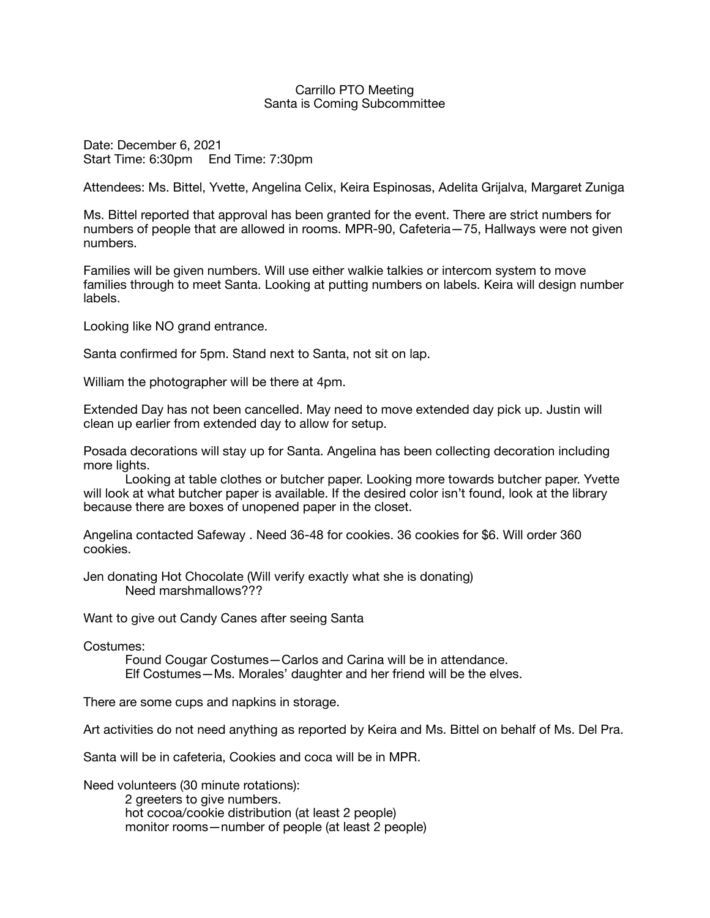## Carrillo PTO Meeting Santa is Coming Subcommittee

Date: December 6, 2021 Start Time: 6:30pm End Time: 7:30pm

Attendees: Ms. Bittel, Yvette, Angelina Celix, Keira Espinosas, Adelita Grijalva, Margaret Zuniga

Ms. Bittel reported that approval has been granted for the event. There are strict numbers for numbers of people that are allowed in rooms. MPR-90, Cafeteria—75, Hallways were not given numbers.

Families will be given numbers. Will use either walkie talkies or intercom system to move families through to meet Santa. Looking at putting numbers on labels. Keira will design number labels.

Looking like NO grand entrance.

Santa confirmed for 5pm. Stand next to Santa, not sit on lap.

William the photographer will be there at 4pm.

Extended Day has not been cancelled. May need to move extended day pick up. Justin will clean up earlier from extended day to allow for setup.

Posada decorations will stay up for Santa. Angelina has been collecting decoration including more lights.

Looking at table clothes or butcher paper. Looking more towards butcher paper. Yvette will look at what butcher paper is available. If the desired color isn't found, look at the library because there are boxes of unopened paper in the closet.

Angelina contacted Safeway . Need 36-48 for cookies. 36 cookies for \$6. Will order 360 cookies.

Jen donating Hot Chocolate (Will verify exactly what she is donating) Need marshmallows???

Want to give out Candy Canes after seeing Santa

Costumes:

Found Cougar Costumes—Carlos and Carina will be in attendance. Elf Costumes—Ms. Morales' daughter and her friend will be the elves.

There are some cups and napkins in storage.

Art activities do not need anything as reported by Keira and Ms. Bittel on behalf of Ms. Del Pra.

Santa will be in cafeteria, Cookies and coca will be in MPR.

Need volunteers (30 minute rotations):

2 greeters to give numbers. hot cocoa/cookie distribution (at least 2 people) monitor rooms—number of people (at least 2 people)